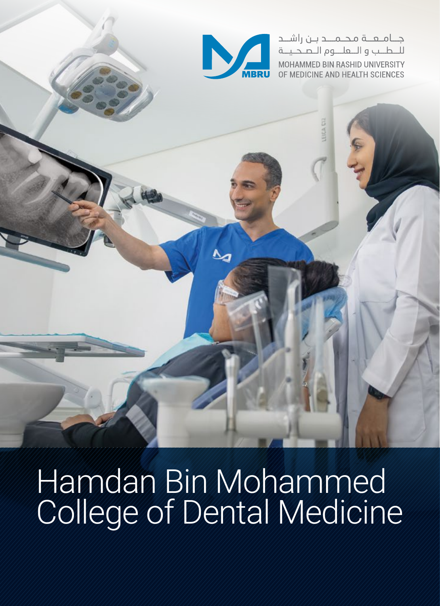

جـــامــعـــة مـحــمـــد بــن راشـــد للطيب والتعليوم التصحينة MOHAMMED BIN RASHID UNIVERSITY OF MEDICINE AND HEALTH SCIENCES

## Hamdan Bin Mohammed College of Dental Medicine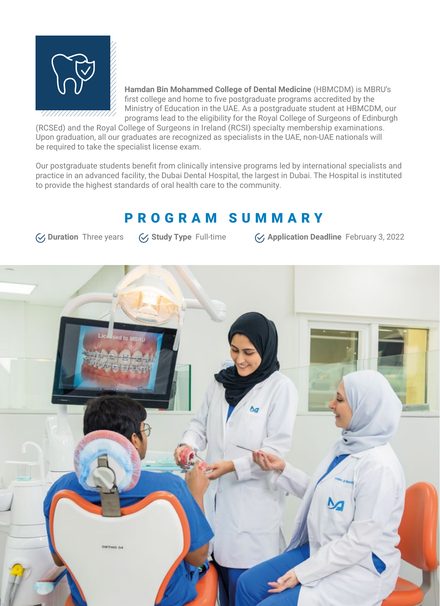

**Hamdan Bin Mohammed College of Dental Medicine** (HBMCDM) is MBRU's first college and home to five postgraduate programs accredited by the Ministry of Education in the UAE. As a postgraduate student at HBMCDM, our programs lead to the eligibility for the Royal College of Surgeons of Edinburgh

(RCSEd) and the Royal College of Surgeons in Ireland (RCSI) specialty membership examinations. Upon graduation, all our graduates are recognized as specialists in the UAE, non-UAE nationals will be required to take the specialist license exam.

Our postgraduate students benefit from clinically intensive programs led by international specialists and practice in an advanced facility, the Dubai Dental Hospital, the largest in Dubai. The Hospital is instituted to provide the highest standards of oral health care to the community.

#### PROGRAM SUMMARY

**Suration** Three years **Sudy Type** Full-time **Application Deadline** February 3, 2022

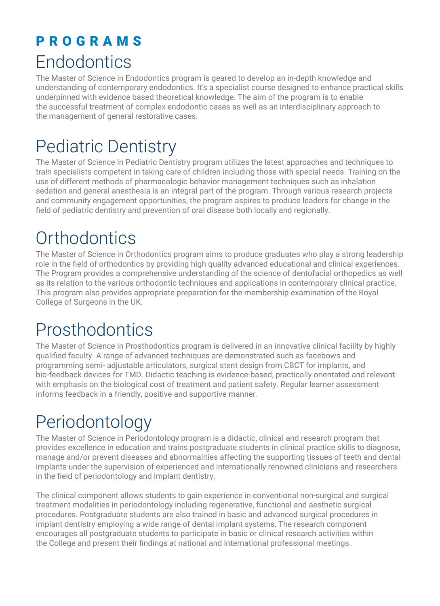### PROGRAMS **Endodontics**

The Master of Science in Endodontics program is geared to develop an in-depth knowledge and understanding of contemporary endodontics. It's a specialist course designed to enhance practical skills underpinned with evidence based theoretical knowledge. The aim of the program is to enable the successful treatment of complex endodontic cases as well as an interdisciplinary approach to the management of general restorative cases.

## Pediatric Dentistry

The Master of Science in Pediatric Dentistry program utilizes the latest approaches and techniques to train specialists competent in taking care of children including those with special needs. Training on the use of different methods of pharmacologic behavior management techniques such as inhalation sedation and general anesthesia is an integral part of the program. Through various research projects and community engagement opportunities, the program aspires to produce leaders for change in the field of pediatric dentistry and prevention of oral disease both locally and regionally.

## **Orthodontics**

The Master of Science in Orthodontics program aims to produce graduates who play a strong leadership role in the field of orthodontics by providing high quality advanced educational and clinical experiences. The Program provides a comprehensive understanding of the science of dentofacial orthopedics as well as its relation to the various orthodontic techniques and applications in contemporary clinical practice. This program also provides appropriate preparation for the membership examination of the Royal College of Surgeons in the UK.

## Prosthodontics

The Master of Science in Prosthodontics program is delivered in an innovative clinical facility by highly qualified faculty. A range of advanced techniques are demonstrated such as facebows and programming semi- adjustable articulators, surgical stent design from CBCT for implants, and bio-feedback devices for TMD. Didactic teaching is evidence-based, practically orientated and relevant with emphasis on the biological cost of treatment and patient safety. Regular learner assessment informs feedback in a friendly, positive and supportive manner.

## Periodontology

The Master of Science in Periodontology program is a didactic, clinical and research program that provides excellence in education and trains postgraduate students in clinical practice skills to diagnose, manage and/or prevent diseases and abnormalities affecting the supporting tissues of teeth and dental implants under the supervision of experienced and internationally renowned clinicians and researchers in the field of periodontology and implant dentistry.

The clinical component allows students to gain experience in conventional non-surgical and surgical treatment modalities in periodontology including regenerative, functional and aesthetic surgical procedures. Postgraduate students are also trained in basic and advanced surgical procedures in implant dentistry employing a wide range of dental implant systems. The research component encourages all postgraduate students to participate in basic or clinical research activities within the College and present their findings at national and international professional meetings.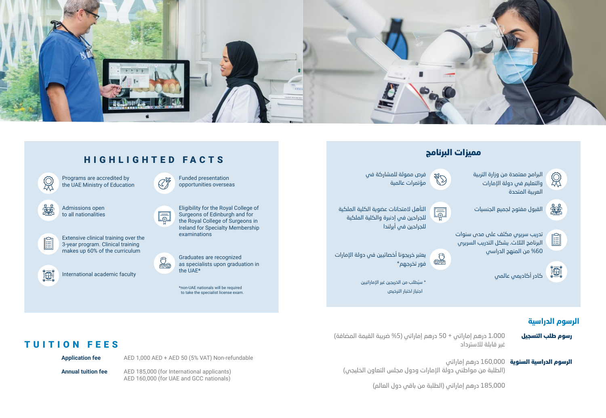



#### **الرسوم الد�اسية**

- 1،000 درهم إماراتي + 50 درهم إماراتي (5% ضريبة القيمة المضافة) غير قابلة للاسترداد رسوم طلب التسجيل
	- **الرسوم الدراسية السنوية 1**60,000 درهم إماراتي (الطلبة من مواطني دولة الإما�ات ودول مجلس التعاون الخليجي)

185,000 درهم إما�ا�ي (الطلبة من باقي دول العالم)

#### TUITION FEES

**Application fee** AED 1,000 AED + AED 50 (5% VAT) Non-refundable

**Annual tuition fee** AED 185,000 (for International applicants) AED 160,000 (for UAE and GCC nationals)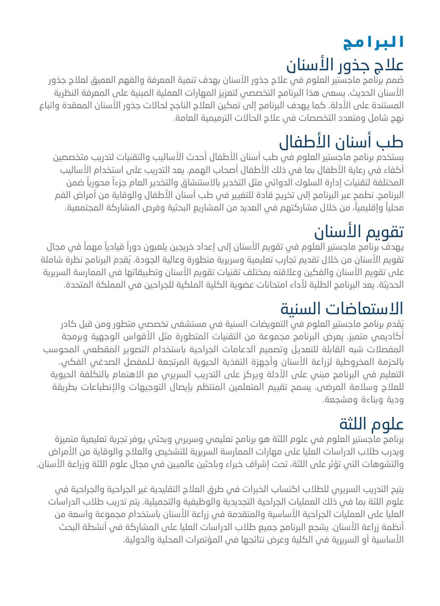## ا ليرا مج علاج جذور الأسنان

صُمم برنَّامج ماجستير العلوم في علاج جذور الأسنان بهدف تنمية المعرفة والفهم العميق لعلاج جذور الأسنان الحديث. يسعى هذا البرنامج التخصصي لتعزيز المهارات العملية المبنية على المعرفة النظرية المستندة على الأدلة. كما يمدف البرنامج إلى تمكين العلاج الناجح لحالات جذور الأسنان المعقدة واتباع نمج شامل ومتعدد التخصصات في علاج الحالات الترميمية العامة.

## طب أسنان الأطفال

يستخدم برنامج ماجستير العلوم فى طب أسنان الأطفال أحدث الأساليب والتقنيات لتدريب متخصصين أكفاء في رعاية الأطفال بما في ذلك الأطفال أصحاب الهمم. يعد التدريب على استخدام الأساليب المختلفة لتقنيات إدارة السلوك الدوائي مثل التخدير بالاستنشاق والتخدير العام جزءآ محوريآ ضمن البرنامج. نطمح عبر البرنامج إلى تخريج قادة للتغيير في طب أسنان الأطفال والوقاية من أمراض الفم محلياً وإقليمياً، من خلال مشاركتهم في العديد من المشاريع البحثية وفرص المشاركة المجتمعية.

## تقويم الأسنان

يهدف برنامج ماجستير العلوم في تقويم الأسنان إلى إعداد خريجين يلعبون دوراً قيادياً مهماً في مجال تقويم الأسنان من خلال تقديم تجارب تعليمية وسريرية متطورة وعالية الجودة. يُقدِم البرنامج نظرة شاملة على تقويم الأسنان والفكين وعلاقته بمختلف تقنيات تقويم الأسنان وتطبيقاتها في الممارسة السريرية الحديثة. يعد البرنامج الطلبة لأداء امتحانات عضوية الكلية الملكية للجراحين في المملكة المتحدة.

#### الاستعاضات السنىة

يُقَدِم برنامج ماجستير العلوم في التعويضات السنية في مستشفى تخصصي متطور ومن قبل كادر أكاديمي متميز. يعرض البرنامج مجموعة من التقنيات المتطورة مثل الأقواس الوجمية وبرمجة المفصلات شبه القابلة للتعديل وتصميم الدعامات الجراحية باستخدام التصوير المقطعي المحوسب بالحزمة المخروطية لزراعة الأسنان وأجمزة التفخية الحيوية المرتجعة لـلمفصل الصدغى الفكى. التعليم فى البرنامج مبنى على الأدلة ويركز على التدريب السريرى مع الاهتمام بالتكلفة الحيوية للعلاج وسلامة المرضى. يسمح تقييم المتعلمين المنتظم بإيصال التوجيهات والإنطباعات بطريقة ودية وبناءة ومشجعة.

## علوم اللثة

برنامج ماجستير العلوم في علوم اللثة هو برنامج تعليمي وسريري وبحثى يوفر تجربة تعليمية متميزة ويدرب طلاب الدراسات العليا على مهارات الممارسة السريرية للتشخيص والعلاج والوقاية من الأمراض والتشوهات التي تؤثر على اللثة، تحت إشراف خبراء وباحثين عالميين في مجال علوم اللثة وزراعة الأسنان.

يتيح التدريب السريري للطلاب اكتساب الخبرات في طرق العلاج التقليدية غير الجراحية والجراحية في علوم اللثة بما في ذلك العمليات الجراحية التجديدية والوظيفية والتجميلية. يتم تدريب طلاب الدراسات العليا على العمليات الجراحية الأساسية والمتقدمة في زراعة الأسنان باستخدام مجموعة واسعة من أنظمة زراعة الأسنان. يشجم البرنامج جميم طلاب الدراسات العليا على المشاركة في أنشطة البحث الأساسية أو السريرية في الكلية وعرض نتائجها في المؤتمرات المحلية والدولية.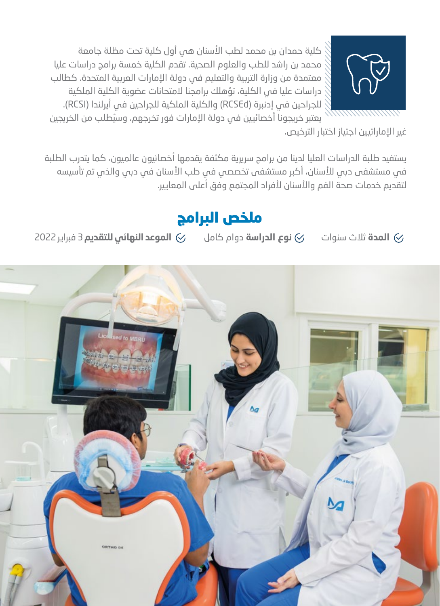

كلية حمدان بن محمد لطب الأسنان هى أول كلية تحت مظلة جامعة محمد بن راشد للطب والعلوم الصحية. تقدم الكلية خمسة برامج دراسات عليا معتمدة من وزارة التربية والتعليم في دولة الإمارات العربية المتحدة. كطالب دراسات عليا في الكلية، تؤهلك برامجنا لامتحانات عضوية الكلية الملكية للجراحين في إدنبرة (RCSEd) والكلية الملكية للجراحين في أيرلندا (RCSI).

يعتبر خريجونا أخصائيين فى دولة الإمارات فور تخرجهم، وسيُطلب من الخريجين غير الإماراتيين اجتياز اختبار الترخيص.

يستفيد طلبة الدراسات العليا لدينا من برامج سريرية مكثفة يقدمها أخصائيون عالميون، كما يتدرب الطلبة في مستشفى دبي للأسنان، أكبر مستشفى تخصصي في طب الأسنان في دبي والذي تم تأسيسه لتقديم خدمات صحة الفم والأسنان لأفراد المجتمع وفق أعلى المعايير.

#### ملخص البرامج

⊘ **الموعد النهائي للتقديم** 3 فبراير 2022 **نوع الدراسة** دوام كامل  $\heartsuit$ ⊘ **المدة** ثلاث سنوات